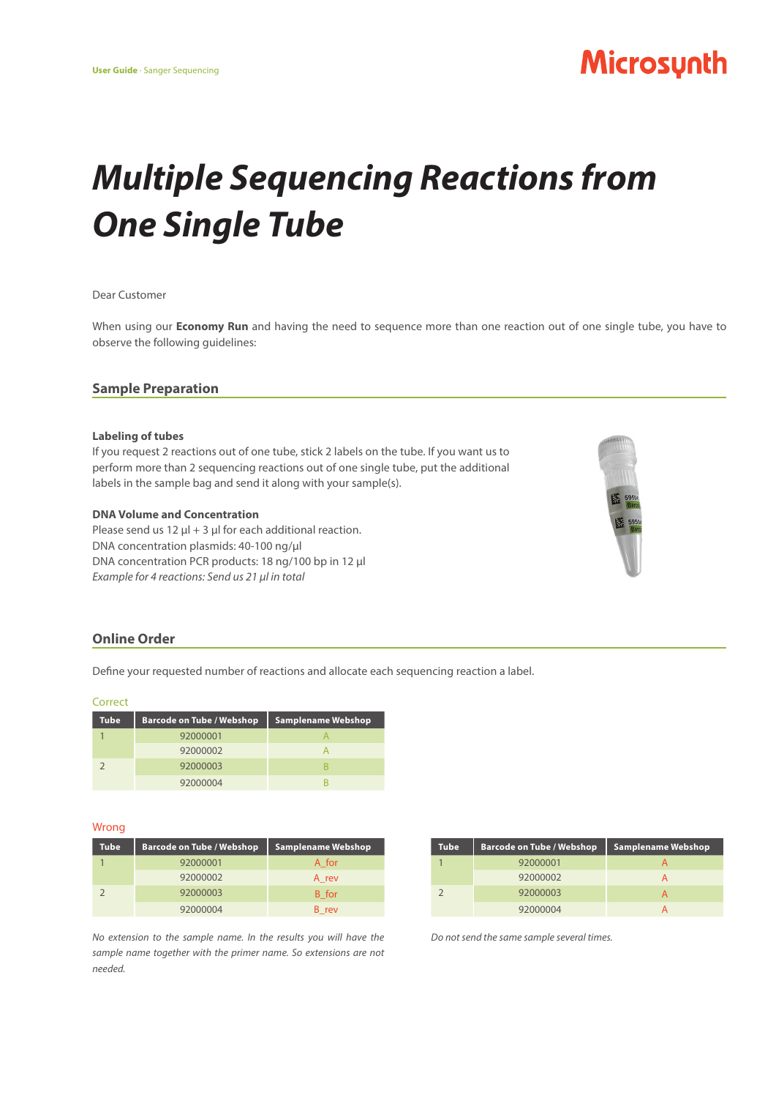# Microsynth

# *Multiple Sequencing Reactions from One Single Tube*

#### Dear Customer

When using our **Economy Run** and having the need to sequence more than one reaction out of one single tube, you have to observe the following guidelines:

# **Sample Preparation**

#### **Labeling of tubes**

If you request 2 reactions out of one tube, stick 2 labels on the tube. If you want us to perform more than 2 sequencing reactions out of one single tube, put the additional labels in the sample bag and send it along with your sample(s).

# **DNA Volume and Concentration**

Please send us 12  $\mu$ l + 3  $\mu$ l for each additional reaction. DNA concentration plasmids: 40-100 ng/ul DNA concentration PCR products: 18 ng/100 bp in 12 µl *Example for 4 reactions: Send us 21 µl in total*



# **Online Order**

Define your requested number of reactions and allocate each sequencing reaction a label.

#### Correct

| Tube | <b>Barcode on Tube / Webshop</b> | <b>Samplename Webshop</b> |
|------|----------------------------------|---------------------------|
|      | 92000001                         |                           |
|      | 92000002                         |                           |
|      | 92000003                         |                           |
|      | 92000004                         |                           |

#### Wrong

| <b>Tube</b> | <b>Barcode on Tube / Webshop</b> | <b>Samplename Webshop</b> |
|-------------|----------------------------------|---------------------------|
|             | 92000001                         | A for                     |
|             | 92000002                         | A rev                     |
|             | 92000003                         | B for                     |
|             | 92000004                         | B rev                     |

| Tube | <b>Barcode on Tube / Webshop</b> | <b>Samplename Webshop</b> |
|------|----------------------------------|---------------------------|
|      | 92000001                         |                           |
|      | 92000002                         |                           |
|      | 92000003                         |                           |
|      | 92000004                         |                           |

*Do not send the same sample several times.* 

*No extension to the sample name. In the results you will have the sample name together with the primer name. So extensions are not needed.*